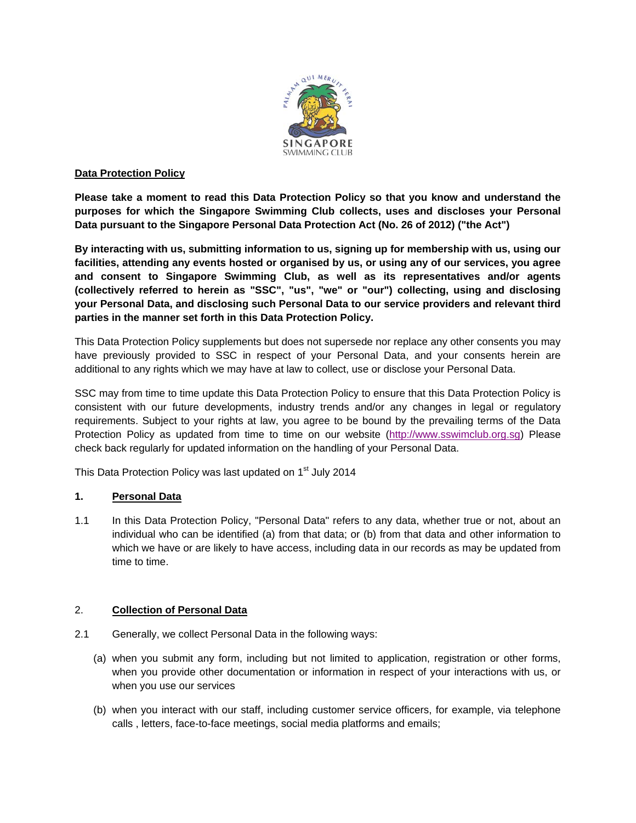

#### **Data Protection Policy**

**Please take a moment to read this Data Protection Policy so that you know and understand the purposes for which the Singapore Swimming Club collects, uses and discloses your Personal Data pursuant to the Singapore Personal Data Protection Act (No. 26 of 2012) ("the Act")**

**By interacting with us, submitting information to us, signing up for membership with us, using our facilities, attending any events hosted or organised by us, or using any of our services, you agree and consent to Singapore Swimming Club, as well as its representatives and/or agents (collectively referred to herein as "SSC", "us", "we" or "our") collecting, using and disclosing your Personal Data, and disclosing such Personal Data to our service providers and relevant third parties in the manner set forth in this Data Protection Policy.**

This Data Protection Policy supplements but does not supersede nor replace any other consents you may have previously provided to SSC in respect of your Personal Data, and your consents herein are additional to any rights which we may have at law to collect, use or disclose your Personal Data.

SSC may from time to time update this Data Protection Policy to ensure that this Data Protection Policy is consistent with our future developments, industry trends and/or any changes in legal or regulatory requirements. Subject to your rights at law, you agree to be bound by the prevailing terms of the Data Protection Policy as updated from time to time on our website [\(http://www.sswimclub.org.sg\)](http://www.sswimclub.org.sg/) Please check back regularly for updated information on the handling of your Personal Data.

This Data Protection Policy was last updated on 1<sup>st</sup> July 2014

## **1. Personal Data**

1.1 In this Data Protection Policy, "Personal Data" refers to any data, whether true or not, about an individual who can be identified (a) from that data; or (b) from that data and other information to which we have or are likely to have access, including data in our records as may be updated from time to time.

## 2. **Collection of Personal Data**

- 2.1 Generally, we collect Personal Data in the following ways:
	- (a) when you submit any form, including but not limited to application, registration or other forms, when you provide other documentation or information in respect of your interactions with us, or when you use our services
	- (b) when you interact with our staff, including customer service officers, for example, via telephone calls , letters, face-to-face meetings, social media platforms and emails;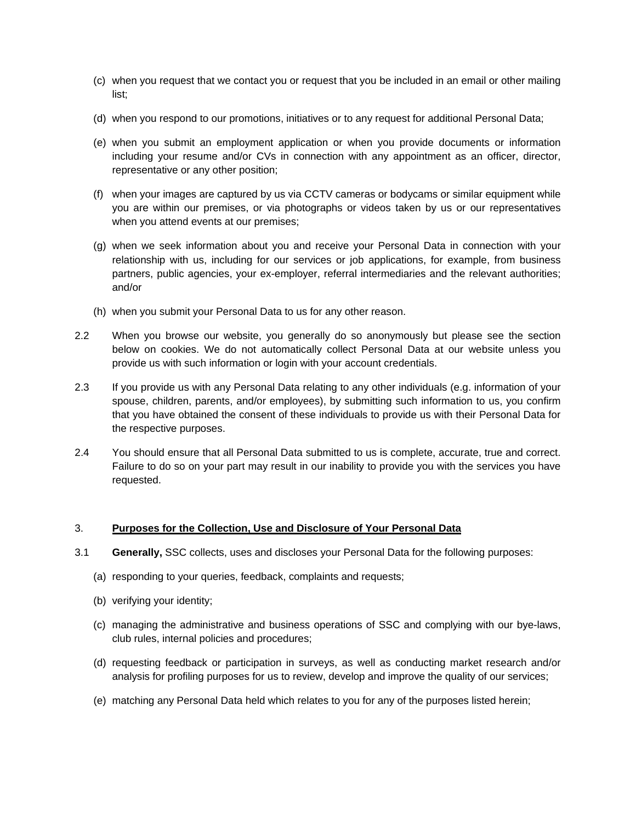- (c) when you request that we contact you or request that you be included in an email or other mailing list;
- (d) when you respond to our promotions, initiatives or to any request for additional Personal Data;
- (e) when you submit an employment application or when you provide documents or information including your resume and/or CVs in connection with any appointment as an officer, director, representative or any other position;
- (f) when your images are captured by us via CCTV cameras or bodycams or similar equipment while you are within our premises, or via photographs or videos taken by us or our representatives when you attend events at our premises;
- (g) when we seek information about you and receive your Personal Data in connection with your relationship with us, including for our services or job applications, for example, from business partners, public agencies, your ex-employer, referral intermediaries and the relevant authorities; and/or
- (h) when you submit your Personal Data to us for any other reason.
- 2.2 When you browse our website, you generally do so anonymously but please see the section below on cookies. We do not automatically collect Personal Data at our website unless you provide us with such information or login with your account credentials.
- 2.3 If you provide us with any Personal Data relating to any other individuals (e.g. information of your spouse, children, parents, and/or employees), by submitting such information to us, you confirm that you have obtained the consent of these individuals to provide us with their Personal Data for the respective purposes.
- 2.4 You should ensure that all Personal Data submitted to us is complete, accurate, true and correct. Failure to do so on your part may result in our inability to provide you with the services you have requested.

## 3. **Purposes for the Collection, Use and Disclosure of Your Personal Data**

- 3.1 **Generally,** SSC collects, uses and discloses your Personal Data for the following purposes:
	- (a) responding to your queries, feedback, complaints and requests;
	- (b) verifying your identity;
	- (c) managing the administrative and business operations of SSC and complying with our bye-laws, club rules, internal policies and procedures;
	- (d) requesting feedback or participation in surveys, as well as conducting market research and/or analysis for profiling purposes for us to review, develop and improve the quality of our services;
	- (e) matching any Personal Data held which relates to you for any of the purposes listed herein;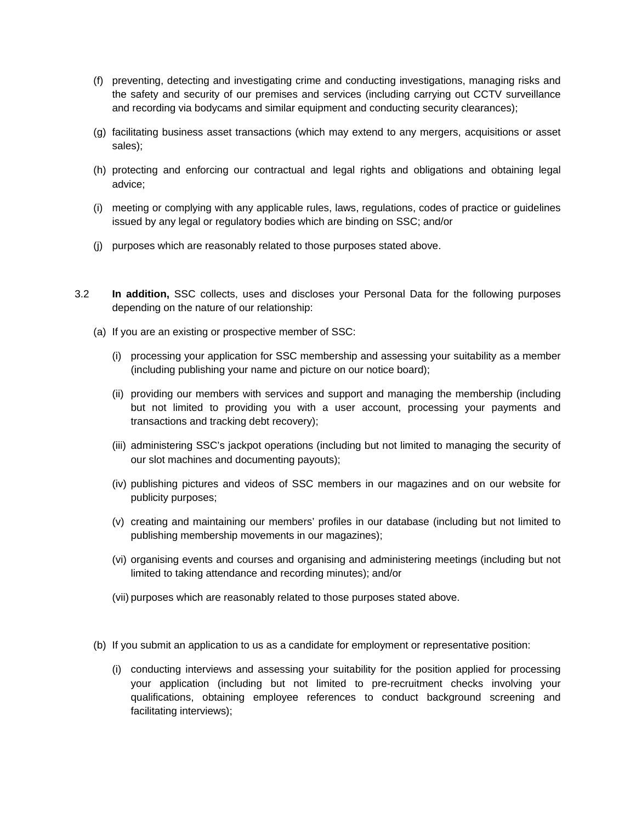- (f) preventing, detecting and investigating crime and conducting investigations, managing risks and the safety and security of our premises and services (including carrying out CCTV surveillance and recording via bodycams and similar equipment and conducting security clearances);
- (g) facilitating business asset transactions (which may extend to any mergers, acquisitions or asset sales);
- (h) protecting and enforcing our contractual and legal rights and obligations and obtaining legal advice;
- (i) meeting or complying with any applicable rules, laws, regulations, codes of practice or guidelines issued by any legal or regulatory bodies which are binding on SSC; and/or
- (j) purposes which are reasonably related to those purposes stated above.
- 3.2 **In addition,** SSC collects, uses and discloses your Personal Data for the following purposes depending on the nature of our relationship:
	- (a) If you are an existing or prospective member of SSC:
		- (i) processing your application for SSC membership and assessing your suitability as a member (including publishing your name and picture on our notice board);
		- (ii) providing our members with services and support and managing the membership (including but not limited to providing you with a user account, processing your payments and transactions and tracking debt recovery);
		- (iii) administering SSC's jackpot operations (including but not limited to managing the security of our slot machines and documenting payouts);
		- (iv) publishing pictures and videos of SSC members in our magazines and on our website for publicity purposes;
		- (v) creating and maintaining our members' profiles in our database (including but not limited to publishing membership movements in our magazines);
		- (vi) organising events and courses and organising and administering meetings (including but not limited to taking attendance and recording minutes); and/or
		- (vii) purposes which are reasonably related to those purposes stated above.
	- (b) If you submit an application to us as a candidate for employment or representative position:
		- (i) conducting interviews and assessing your suitability for the position applied for processing your application (including but not limited to pre-recruitment checks involving your qualifications, obtaining employee references to conduct background screening and facilitating interviews);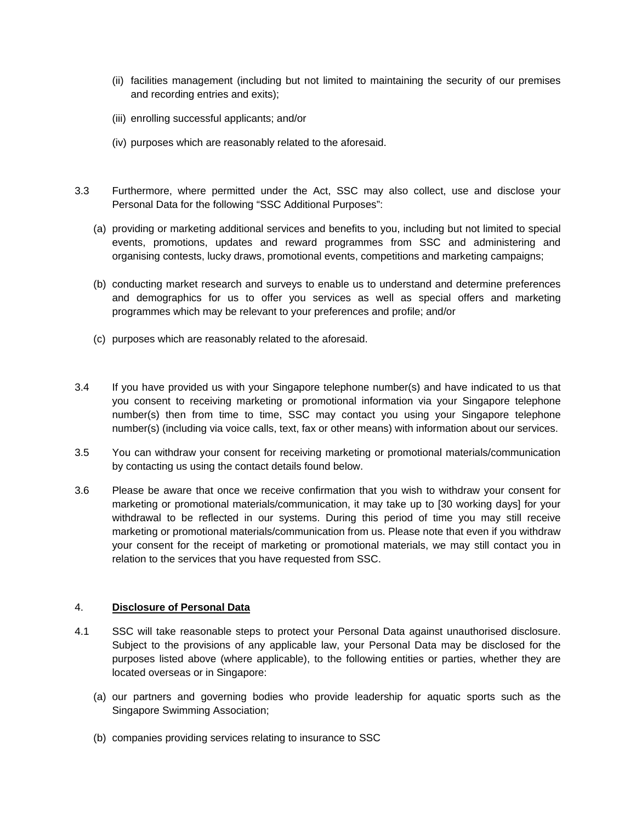- (ii) facilities management (including but not limited to maintaining the security of our premises and recording entries and exits);
- (iii) enrolling successful applicants; and/or
- (iv) purposes which are reasonably related to the aforesaid.
- 3.3 Furthermore, where permitted under the Act, SSC may also collect, use and disclose your Personal Data for the following "SSC Additional Purposes":
	- (a) providing or marketing additional services and benefits to you, including but not limited to special events, promotions, updates and reward programmes from SSC and administering and organising contests, lucky draws, promotional events, competitions and marketing campaigns;
	- (b) conducting market research and surveys to enable us to understand and determine preferences and demographics for us to offer you services as well as special offers and marketing programmes which may be relevant to your preferences and profile; and/or
	- (c) purposes which are reasonably related to the aforesaid.
- 3.4 If you have provided us with your Singapore telephone number(s) and have indicated to us that you consent to receiving marketing or promotional information via your Singapore telephone number(s) then from time to time, SSC may contact you using your Singapore telephone number(s) (including via voice calls, text, fax or other means) with information about our services.
- 3.5 You can withdraw your consent for receiving marketing or promotional materials/communication by contacting us using the contact details found below.
- 3.6 Please be aware that once we receive confirmation that you wish to withdraw your consent for marketing or promotional materials/communication, it may take up to [30 working days] for your withdrawal to be reflected in our systems. During this period of time you may still receive marketing or promotional materials/communication from us. Please note that even if you withdraw your consent for the receipt of marketing or promotional materials, we may still contact you in relation to the services that you have requested from SSC.

## 4. **Disclosure of Personal Data**

- 4.1 SSC will take reasonable steps to protect your Personal Data against unauthorised disclosure. Subject to the provisions of any applicable law, your Personal Data may be disclosed for the purposes listed above (where applicable), to the following entities or parties, whether they are located overseas or in Singapore:
	- (a) our partners and governing bodies who provide leadership for aquatic sports such as the Singapore Swimming Association;
	- (b) companies providing services relating to insurance to SSC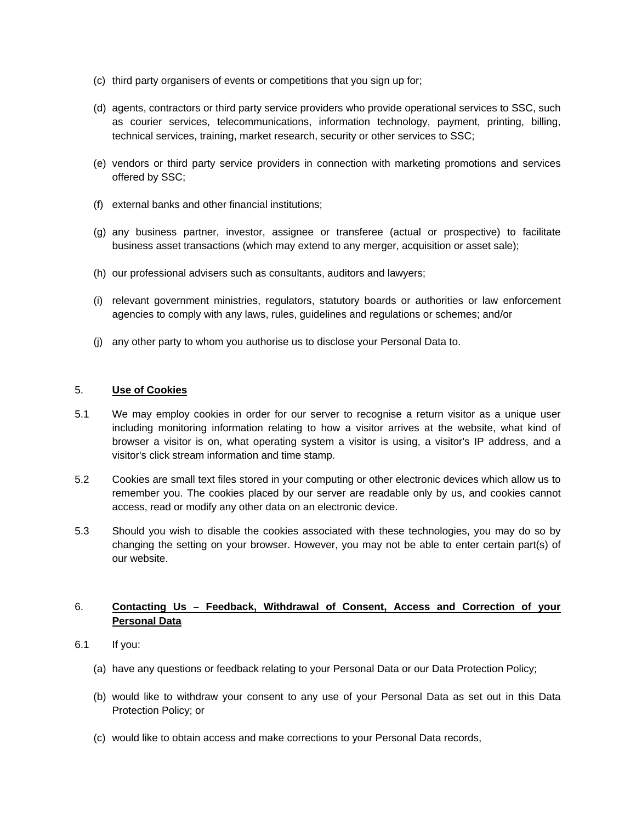- (c) third party organisers of events or competitions that you sign up for;
- (d) agents, contractors or third party service providers who provide operational services to SSC, such as courier services, telecommunications, information technology, payment, printing, billing, technical services, training, market research, security or other services to SSC;
- (e) vendors or third party service providers in connection with marketing promotions and services offered by SSC;
- (f) external banks and other financial institutions;
- (g) any business partner, investor, assignee or transferee (actual or prospective) to facilitate business asset transactions (which may extend to any merger, acquisition or asset sale);
- (h) our professional advisers such as consultants, auditors and lawyers;
- (i) relevant government ministries, regulators, statutory boards or authorities or law enforcement agencies to comply with any laws, rules, guidelines and regulations or schemes; and/or
- (j) any other party to whom you authorise us to disclose your Personal Data to.

#### 5. **Use of Cookies**

- 5.1 We may employ cookies in order for our server to recognise a return visitor as a unique user including monitoring information relating to how a visitor arrives at the website, what kind of browser a visitor is on, what operating system a visitor is using, a visitor's IP address, and a visitor's click stream information and time stamp.
- 5.2 Cookies are small text files stored in your computing or other electronic devices which allow us to remember you. The cookies placed by our server are readable only by us, and cookies cannot access, read or modify any other data on an electronic device.
- 5.3 Should you wish to disable the cookies associated with these technologies, you may do so by changing the setting on your browser. However, you may not be able to enter certain part(s) of our website.

# 6. **Contacting Us – Feedback, Withdrawal of Consent, Access and Correction of your Personal Data**

- 6.1 If you:
	- (a) have any questions or feedback relating to your Personal Data or our Data Protection Policy;
	- (b) would like to withdraw your consent to any use of your Personal Data as set out in this Data Protection Policy; or
	- (c) would like to obtain access and make corrections to your Personal Data records,